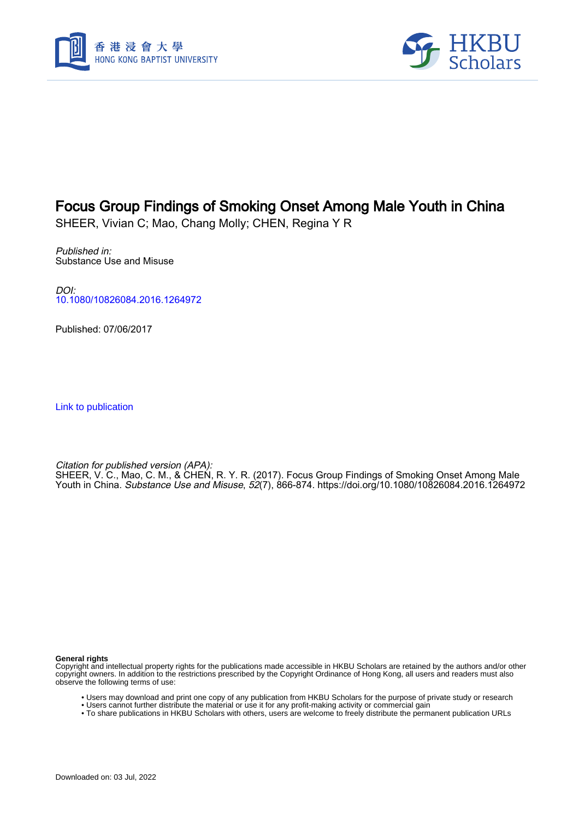



# Focus Group Findings of Smoking Onset Among Male Youth in China

SHEER, Vivian C; Mao, Chang Molly; CHEN, Regina Y R

Published in: Substance Use and Misuse

DOI: [10.1080/10826084.2016.1264972](https://doi.org/10.1080/10826084.2016.1264972)

Published: 07/06/2017

[Link to publication](https://scholars.hkbu.edu.hk/en/publications/0a6ccc51-bba4-4efe-b896-4d65e5ecbf5e)

Citation for published version (APA): SHEER, V. C., Mao, C. M., & CHEN, R. Y. R. (2017). Focus Group Findings of Smoking Onset Among Male Youth in China. Substance Use and Misuse, 52(7), 866-874.<https://doi.org/10.1080/10826084.2016.1264972>

**General rights**

Copyright and intellectual property rights for the publications made accessible in HKBU Scholars are retained by the authors and/or other copyright owners. In addition to the restrictions prescribed by the Copyright Ordinance of Hong Kong, all users and readers must also observe the following terms of use:

- Users may download and print one copy of any publication from HKBU Scholars for the purpose of private study or research
- Users cannot further distribute the material or use it for any profit-making activity or commercial gain
- To share publications in HKBU Scholars with others, users are welcome to freely distribute the permanent publication URLs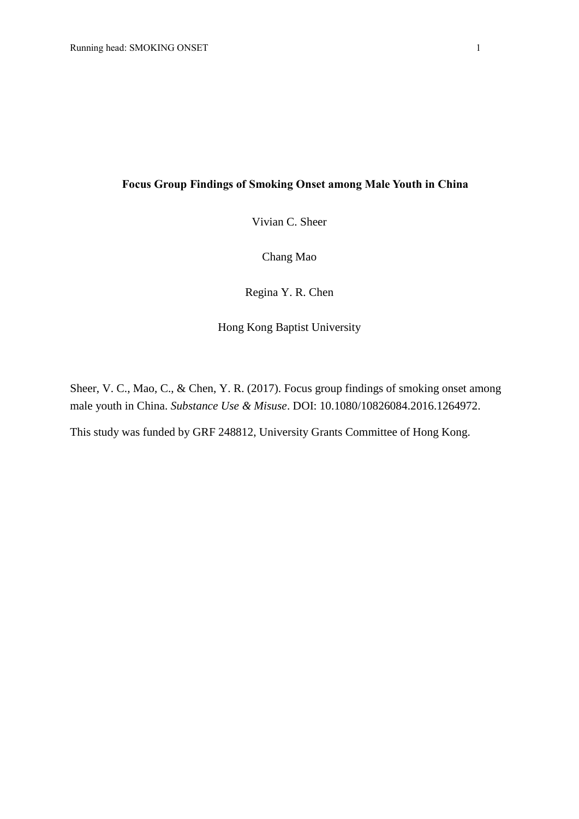## **Focus Group Findings of Smoking Onset among Male Youth in China**

Vivian C. Sheer

Chang Mao

Regina Y. R. Chen

Hong Kong Baptist University

Sheer, V. C., Mao, C., & Chen, Y. R. (2017). Focus group findings of smoking onset among male youth in China. *Substance Use & Misuse*. DOI: 10.1080/10826084.2016.1264972.

This study was funded by GRF 248812, University Grants Committee of Hong Kong.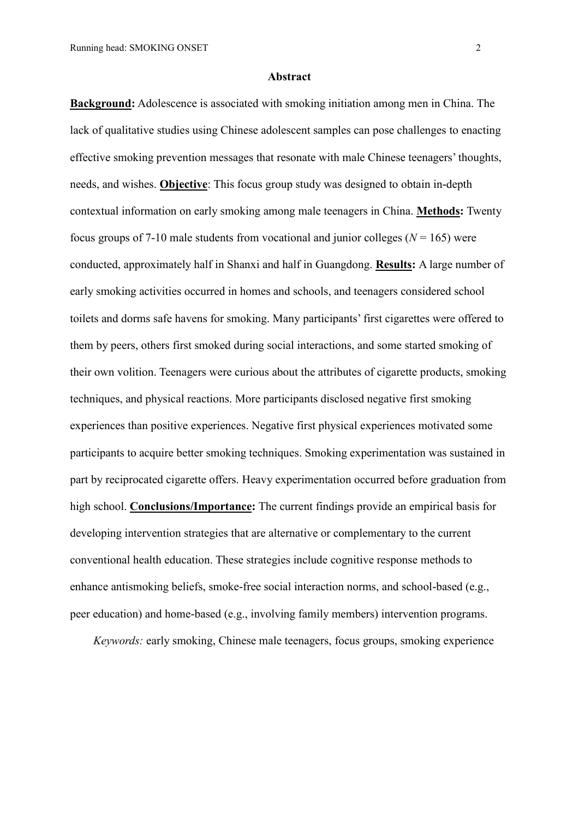#### **Abstract**

**Background:** Adolescence is associated with smoking initiation among men in China. The lack of qualitative studies using Chinese adolescent samples can pose challenges to enacting effective smoking prevention messages that resonate with male Chinese teenagers' thoughts, needs, and wishes. **Objective**: This focus group study was designed to obtain in-depth contextual information on early smoking among male teenagers in China. **Methods:** Twenty focus groups of 7-10 male students from vocational and junior colleges ( $N = 165$ ) were conducted, approximately half in Shanxi and half in Guangdong. **Results:** A large number of early smoking activities occurred in homes and schools, and teenagers considered school toilets and dorms safe havens for smoking. Many participants' first cigarettes were offered to them by peers, others first smoked during social interactions, and some started smoking of their own volition. Teenagers were curious about the attributes of cigarette products, smoking techniques, and physical reactions. More participants disclosed negative first smoking experiences than positive experiences. Negative first physical experiences motivated some participants to acquire better smoking techniques. Smoking experimentation was sustained in part by reciprocated cigarette offers. Heavy experimentation occurred before graduation from high school. **Conclusions/Importance:** The current findings provide an empirical basis for developing intervention strategies that are alternative or complementary to the current conventional health education. These strategies include cognitive response methods to enhance antismoking beliefs, smoke-free social interaction norms, and school-based (e.g., peer education) and home-based (e.g., involving family members) intervention programs.

*Keywords:* early smoking, Chinese male teenagers, focus groups, smoking experience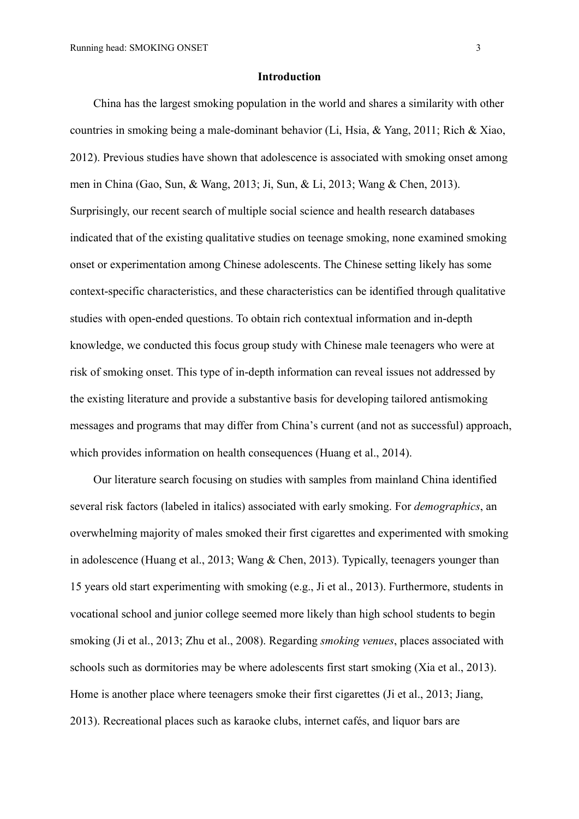#### **Introduction**

China has the largest smoking population in the world and shares a similarity with other countries in smoking being a male-dominant behavior (Li, Hsia, & Yang, 2011; Rich & Xiao, 2012). Previous studies have shown that adolescence is associated with smoking onset among men in China (Gao, Sun, & Wang, 2013; Ji, Sun, & Li, 2013; Wang & Chen, 2013). Surprisingly, our recent search of multiple social science and health research databases indicated that of the existing qualitative studies on teenage smoking, none examined smoking onset or experimentation among Chinese adolescents. The Chinese setting likely has some context-specific characteristics, and these characteristics can be identified through qualitative studies with open-ended questions. To obtain rich contextual information and in-depth knowledge, we conducted this focus group study with Chinese male teenagers who were at risk of smoking onset. This type of in-depth information can reveal issues not addressed by the existing literature and provide a substantive basis for developing tailored antismoking messages and programs that may differ from China's current (and not as successful) approach, which provides information on health consequences (Huang et al., 2014).

Our literature search focusing on studies with samples from mainland China identified several risk factors (labeled in italics) associated with early smoking. For *demographics*, an overwhelming majority of males smoked their first cigarettes and experimented with smoking in adolescence (Huang et al., 2013; Wang & Chen, 2013). Typically, teenagers younger than 15 years old start experimenting with smoking (e.g., Ji et al., 2013). Furthermore, students in vocational school and junior college seemed more likely than high school students to begin smoking (Ji et al., 2013; Zhu et al., 2008). Regarding *smoking venues*, places associated with schools such as dormitories may be where adolescents first start smoking (Xia et al., 2013). Home is another place where teenagers smoke their first cigarettes (Ji et al., 2013; Jiang, 2013). Recreational places such as karaoke clubs, internet cafés, and liquor bars are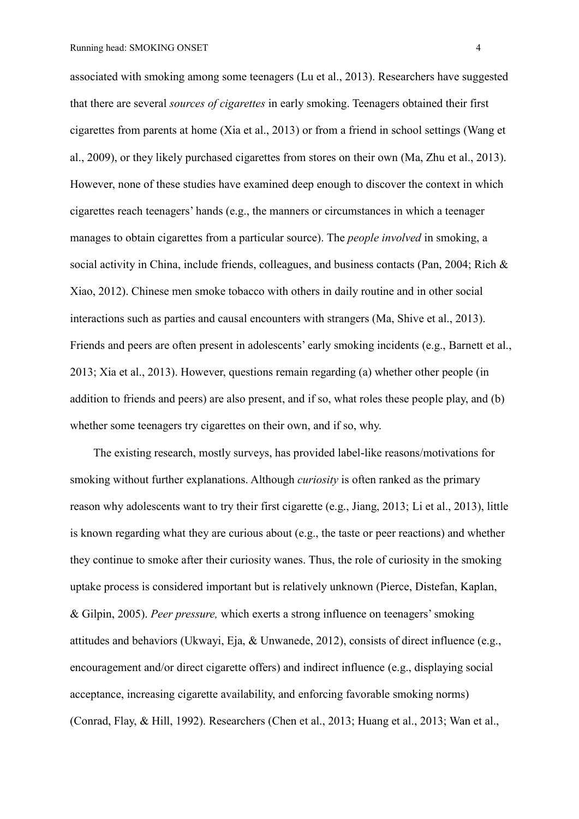associated with smoking among some teenagers (Lu et al., 2013). Researchers have suggested that there are several *sources of cigarettes* in early smoking. Teenagers obtained their first cigarettes from parents at home (Xia et al., 2013) or from a friend in school settings (Wang et al., 2009), or they likely purchased cigarettes from stores on their own (Ma, Zhu et al., 2013). However, none of these studies have examined deep enough to discover the context in which cigarettes reach teenagers' hands (e.g., the manners or circumstances in which a teenager manages to obtain cigarettes from a particular source). The *people involved* in smoking, a social activity in China, include friends, colleagues, and business contacts (Pan, 2004; Rich & Xiao, 2012). Chinese men smoke tobacco with others in daily routine and in other social interactions such as parties and causal encounters with strangers (Ma, Shive et al., 2013). Friends and peers are often present in adolescents' early smoking incidents (e.g., Barnett et al., 2013; Xia et al., 2013). However, questions remain regarding (a) whether other people (in addition to friends and peers) are also present, and if so, what roles these people play, and (b) whether some teenagers try cigarettes on their own, and if so, why.

The existing research, mostly surveys, has provided label-like reasons/motivations for smoking without further explanations. Although *curiosity* is often ranked as the primary reason why adolescents want to try their first cigarette (e.g., Jiang, 2013; Li et al., 2013), little is known regarding what they are curious about (e.g., the taste or peer reactions) and whether they continue to smoke after their curiosity wanes. Thus, the role of curiosity in the smoking uptake process is considered important but is relatively unknown (Pierce, Distefan, Kaplan, & Gilpin, 2005). *Peer pressure,* which exerts a strong influence on teenagers'smoking attitudes and behaviors (Ukwayi, Eja, & Unwanede, 2012), consists of direct influence (e.g., encouragement and/or direct cigarette offers) and indirect influence (e.g., displaying social acceptance, increasing cigarette availability, and enforcing favorable smoking norms) (Conrad, Flay, & Hill, 1992). Researchers (Chen et al., 2013; Huang et al., 2013; Wan et al.,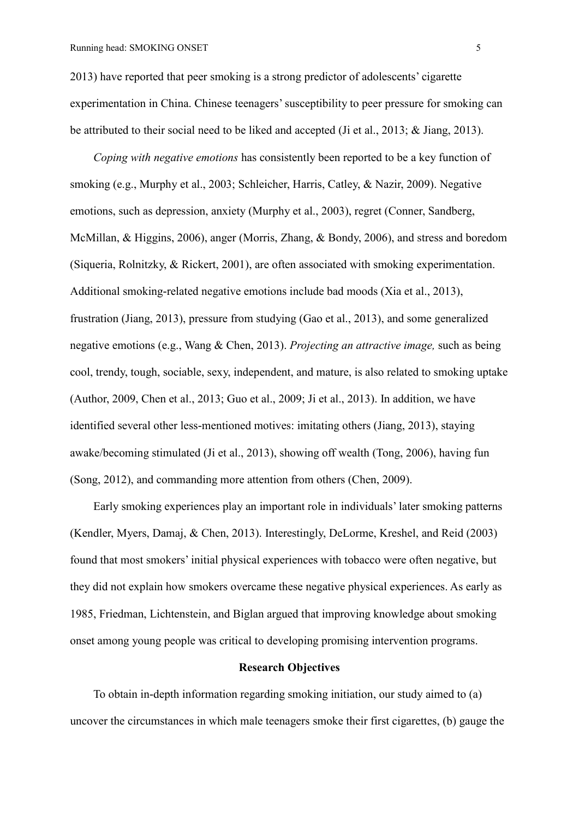2013) have reported that peer smoking is a strong predictor of adolescents' cigarette experimentation in China. Chinese teenagers' susceptibility to peer pressure for smoking can be attributed to their social need to be liked and accepted (Ji et al., 2013; & Jiang, 2013).

*Coping with negative emotions* has consistently been reported to be a key function of smoking (e.g., Murphy et al., 2003; Schleicher, Harris, Catley, & Nazir, 2009). Negative emotions, such as depression, anxiety (Murphy et al., 2003), regret (Conner, Sandberg, McMillan, & Higgins, 2006), anger (Morris, Zhang, & Bondy, 2006), and stress and boredom (Siqueria, Rolnitzky, & Rickert, 2001), are often associated with smoking experimentation. Additional smoking-related negative emotions include bad moods (Xia et al., 2013), frustration (Jiang, 2013), pressure from studying (Gao et al., 2013), and some generalized negative emotions (e.g., Wang & Chen, 2013). *Projecting an attractive image,* such as being cool, trendy, tough, sociable, sexy, independent, and mature, is also related to smoking uptake (Author, 2009, Chen et al., 2013; Guo et al., 2009; Ji et al., 2013). In addition, we have identified several other less-mentioned motives: imitating others (Jiang, 2013), staying awake/becoming stimulated (Ji et al., 2013), showing off wealth (Tong, 2006), having fun (Song, 2012), and commanding more attention from others (Chen, 2009).

Early smoking experiences play an important role in individuals' later smoking patterns (Kendler, Myers, Damaj, & Chen, 2013). Interestingly, DeLorme, Kreshel, and Reid (2003) found that most smokers' initial physical experiences with tobacco were often negative, but they did not explain how smokers overcame these negative physical experiences. As early as 1985, Friedman, Lichtenstein, and Biglan argued that improving knowledge about smoking onset among young people was critical to developing promising intervention programs.

# **Research Objectives**

To obtain in-depth information regarding smoking initiation, our study aimed to (a) uncover the circumstances in which male teenagers smoke their first cigarettes, (b) gauge the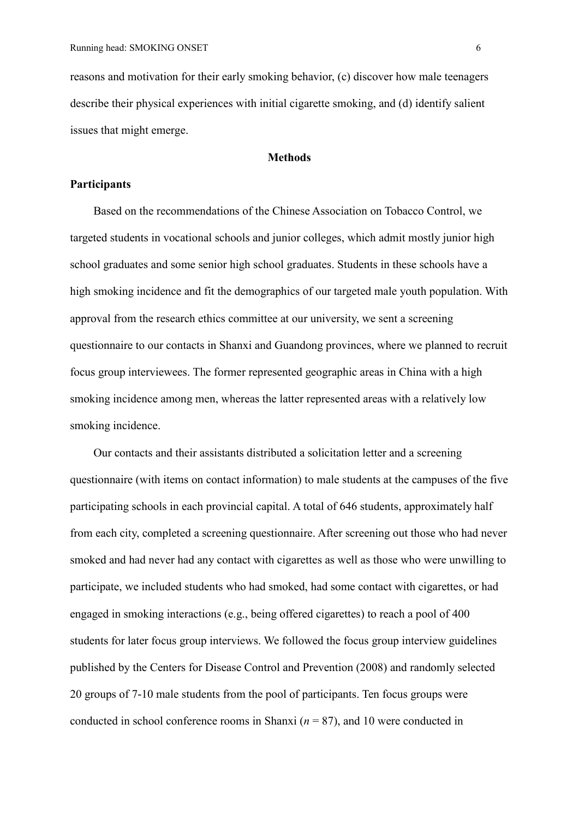reasons and motivation for their early smoking behavior, (c) discover how male teenagers describe their physical experiences with initial cigarette smoking, and (d) identify salient issues that might emerge.

# **Methods**

### **Participants**

Based on the recommendations of the Chinese Association on Tobacco Control, we targeted students in vocational schools and junior colleges, which admit mostly junior high school graduates and some senior high school graduates. Students in these schools have a high smoking incidence and fit the demographics of our targeted male youth population. With approval from the research ethics committee at our university, we sent a screening questionnaire to our contacts in Shanxi and Guandong provinces, where we planned to recruit focus group interviewees. The former represented geographic areas in China with a high smoking incidence among men, whereas the latter represented areas with a relatively low smoking incidence.

Our contacts and their assistants distributed a solicitation letter and a screening questionnaire (with items on contact information) to male students at the campuses of the five participating schools in each provincial capital. A total of 646 students, approximately half from each city, completed a screening questionnaire. After screening out those who had never smoked and had never had any contact with cigarettes as well as those who were unwilling to participate, we included students who had smoked, had some contact with cigarettes, or had engaged in smoking interactions (e.g., being offered cigarettes) to reach a pool of 400 students for later focus group interviews. We followed the focus group interview guidelines published by the Centers for Disease Control and Prevention (2008) and randomly selected 20 groups of 7-10 male students from the pool of participants. Ten focus groups were conducted in school conference rooms in Shanxi  $(n = 87)$ , and 10 were conducted in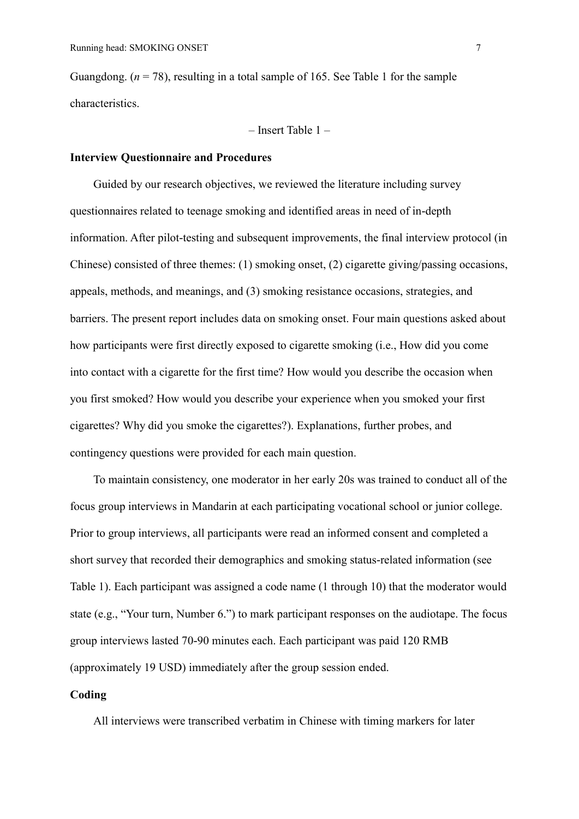Guangdong.  $(n = 78)$ , resulting in a total sample of 165. See Table 1 for the sample characteristics.

– Insert Table 1 –

## **Interview Questionnaire and Procedures**

Guided by our research objectives, we reviewed the literature including survey questionnaires related to teenage smoking and identified areas in need of in-depth information. After pilot-testing and subsequent improvements, the final interview protocol (in Chinese) consisted of three themes: (1) smoking onset, (2) cigarette giving/passing occasions, appeals, methods, and meanings, and (3) smoking resistance occasions, strategies, and barriers. The present report includes data on smoking onset. Four main questions asked about how participants were first directly exposed to cigarette smoking (i.e., How did you come into contact with a cigarette for the first time? How would you describe the occasion when you first smoked? How would you describe your experience when you smoked your first cigarettes? Why did you smoke the cigarettes?). Explanations, further probes, and contingency questions were provided for each main question.

To maintain consistency, one moderator in her early 20s was trained to conduct all of the focus group interviews in Mandarin at each participating vocational school or junior college. Prior to group interviews, all participants were read an informed consent and completed a short survey that recorded their demographics and smoking status-related information (see Table 1). Each participant was assigned a code name (1 through 10) that the moderator would state (e.g., "Your turn, Number 6.") to mark participant responses on the audiotape. The focus group interviews lasted 70-90 minutes each. Each participant was paid 120 RMB (approximately 19 USD) immediately after the group session ended.

## **Coding**

All interviews were transcribed verbatim in Chinese with timing markers for later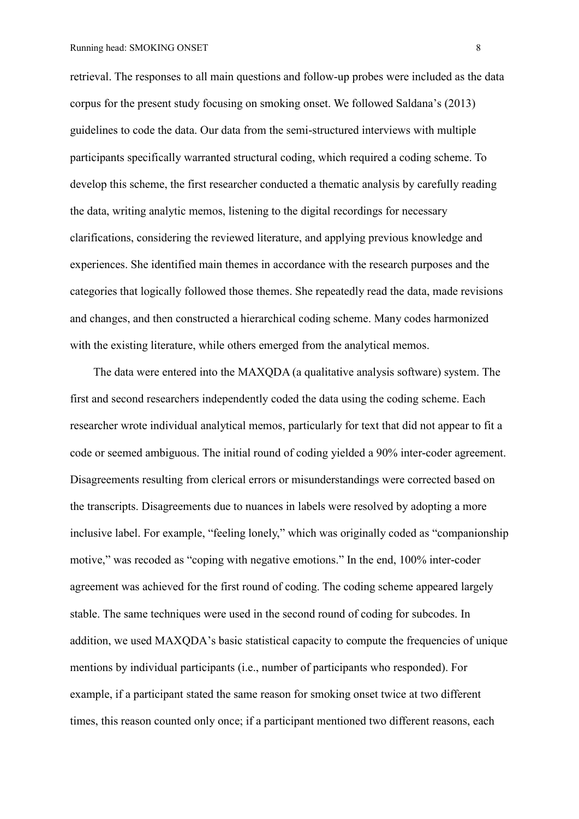retrieval. The responses to all main questions and follow-up probes were included as the data corpus for the present study focusing on smoking onset. We followed Saldana's (2013) guidelines to code the data. Our data from the semi-structured interviews with multiple participants specifically warranted structural coding, which required a coding scheme. To develop this scheme, the first researcher conducted a thematic analysis by carefully reading the data, writing analytic memos, listening to the digital recordings for necessary clarifications, considering the reviewed literature, and applying previous knowledge and experiences. She identified main themes in accordance with the research purposes and the categories that logically followed those themes. She repeatedly read the data, made revisions and changes, and then constructed a hierarchical coding scheme. Many codes harmonized with the existing literature, while others emerged from the analytical memos.

The data were entered into the MAXQDA (a qualitative analysis software) system. The first and second researchers independently coded the data using the coding scheme. Each researcher wrote individual analytical memos, particularly for text that did not appear to fit a code or seemed ambiguous. The initial round of coding yielded a 90% inter-coder agreement. Disagreements resulting from clerical errors or misunderstandings were corrected based on the transcripts. Disagreements due to nuances in labels were resolved by adopting a more inclusive label. For example, "feeling lonely," which was originally coded as "companionship motive," was recoded as "coping with negative emotions." In the end, 100% inter-coder agreement was achieved for the first round of coding. The coding scheme appeared largely stable. The same techniques were used in the second round of coding for subcodes. In addition, we used MAXQDA's basic statistical capacity to compute the frequencies of unique mentions by individual participants (i.e., number of participants who responded). For example, if a participant stated the same reason for smoking onset twice at two different times, this reason counted only once; if a participant mentioned two different reasons, each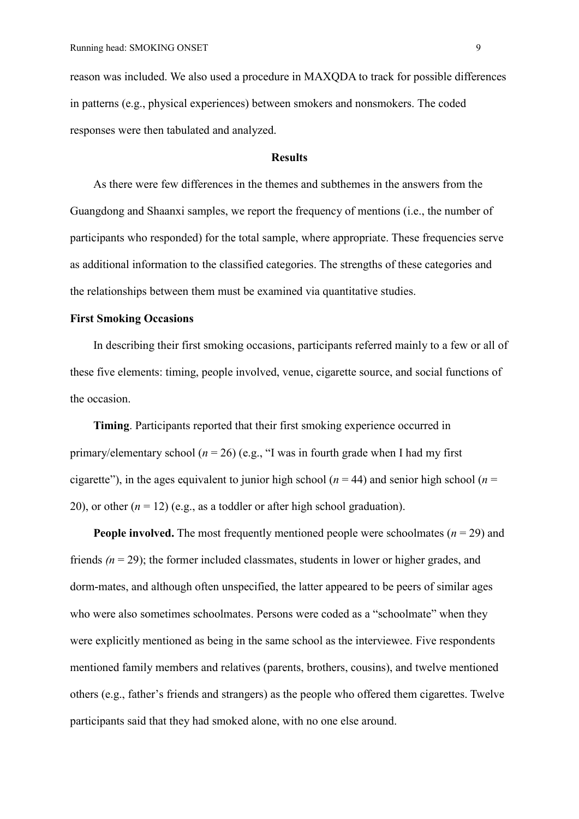reason was included. We also used a procedure in MAXQDA to track for possible differences in patterns (e.g., physical experiences) between smokers and nonsmokers. The coded responses were then tabulated and analyzed.

#### **Results**

As there were few differences in the themes and subthemes in the answers from the Guangdong and Shaanxi samples, we report the frequency of mentions (i.e., the number of participants who responded) for the total sample, where appropriate. These frequencies serve as additional information to the classified categories. The strengths of these categories and the relationships between them must be examined via quantitative studies.

# **First Smoking Occasions**

In describing their first smoking occasions, participants referred mainly to a few or all of these five elements: timing, people involved, venue, cigarette source, and social functions of the occasion.

**Timing**. Participants reported that their first smoking experience occurred in primary/elementary school ( $n = 26$ ) (e.g., "I was in fourth grade when I had my first cigarette"), in the ages equivalent to junior high school ( $n = 44$ ) and senior high school ( $n =$ 20), or other  $(n = 12)$  (e.g., as a toddler or after high school graduation).

**People involved.** The most frequently mentioned people were schoolmates  $(n = 29)$  and friends  $(n = 29)$ ; the former included classmates, students in lower or higher grades, and dorm-mates, and although often unspecified, the latter appeared to be peers of similar ages who were also sometimes schoolmates. Persons were coded as a "schoolmate" when they were explicitly mentioned as being in the same school as the interviewee. Five respondents mentioned family members and relatives (parents, brothers, cousins), and twelve mentioned others (e.g., father's friends and strangers) as the people who offered them cigarettes. Twelve participants said that they had smoked alone, with no one else around.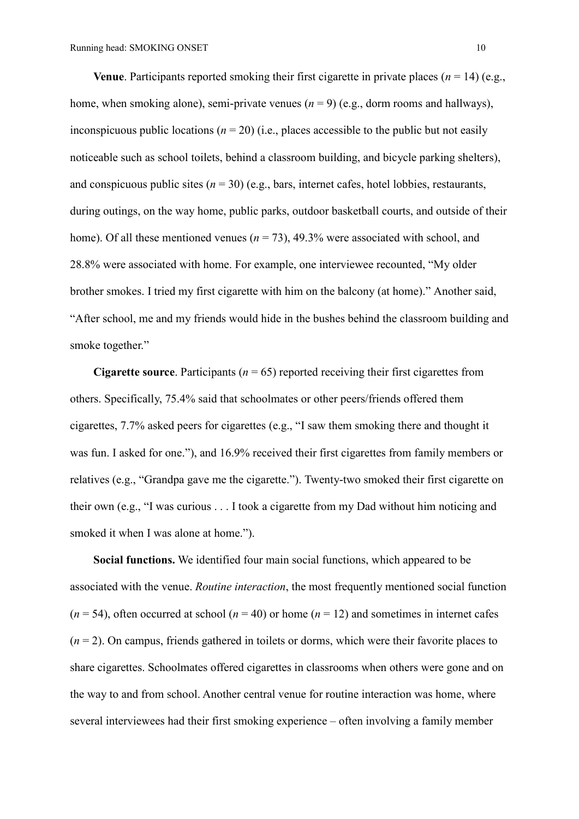**Venue**. Participants reported smoking their first cigarette in private places ( $n = 14$ ) (e.g., home, when smoking alone), semi-private venues  $(n = 9)$  (e.g., dorm rooms and hallways), inconspicuous public locations ( $n = 20$ ) (i.e., places accessible to the public but not easily noticeable such as school toilets, behind a classroom building, and bicycle parking shelters), and conspicuous public sites  $(n = 30)$  (e.g., bars, internet cafes, hotel lobbies, restaurants, during outings, on the way home, public parks, outdoor basketball courts, and outside of their home). Of all these mentioned venues ( $n = 73$ ), 49.3% were associated with school, and 28.8% were associated with home. For example, one interviewee recounted, "My older brother smokes. I tried my first cigarette with him on the balcony (at home)." Another said, "After school, me and my friends would hide in the bushes behind the classroom building and smoke together."

**Cigarette source**. Participants (*n* = 65) reported receiving their first cigarettes from others. Specifically, 75.4% said that schoolmates or other peers/friends offered them cigarettes, 7.7% asked peers for cigarettes (e.g., "I saw them smoking there and thought it was fun. I asked for one."), and 16.9% received their first cigarettes from family members or relatives (e.g., "Grandpa gave me the cigarette."). Twenty-two smoked their first cigarette on their own (e.g., "I was curious . . . I took a cigarette from my Dad without him noticing and smoked it when I was alone at home.").

**Social functions.** We identified four main social functions, which appeared to be associated with the venue. *Routine interaction*, the most frequently mentioned social function  $(n = 54)$ , often occurred at school  $(n = 40)$  or home  $(n = 12)$  and sometimes in internet cafes (*n* = 2). On campus, friends gathered in toilets or dorms, which were their favorite places to share cigarettes. Schoolmates offered cigarettes in classrooms when others were gone and on the way to and from school. Another central venue for routine interaction was home, where several interviewees had their first smoking experience – often involving a family member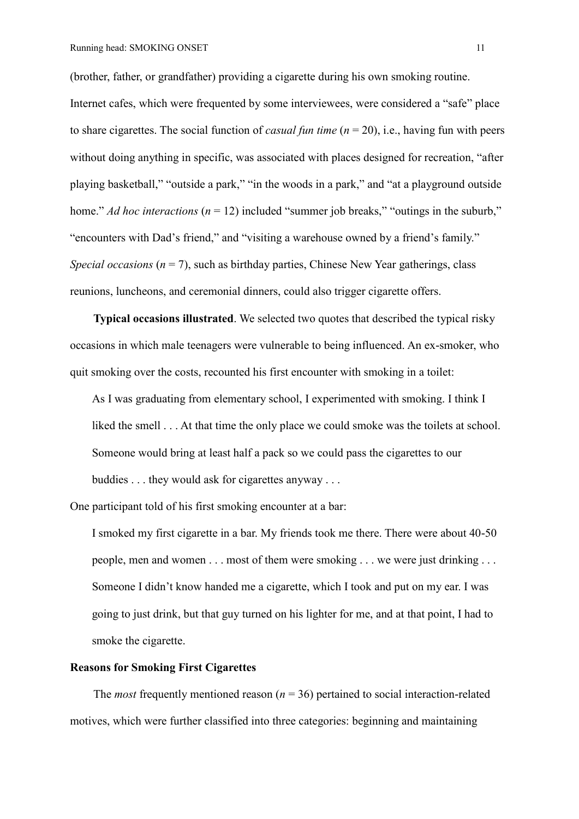(brother, father, or grandfather) providing a cigarette during his own smoking routine. Internet cafes, which were frequented by some interviewees, were considered a "safe" place to share cigarettes. The social function of *casual fun time* (*n* = 20), i.e., having fun with peers without doing anything in specific, was associated with places designed for recreation, "after playing basketball," "outside a park," "in the woods in a park," and "at a playground outside home." *Ad hoc interactions* ( $n = 12$ ) included "summer job breaks," "outings in the suburb," "encounters with Dad's friend," and "visiting a warehouse owned by a friend's family." *Special occasions* ( $n = 7$ ), such as birthday parties, Chinese New Year gatherings, class reunions, luncheons, and ceremonial dinners, could also trigger cigarette offers.

**Typical occasions illustrated**. We selected two quotes that described the typical risky occasions in which male teenagers were vulnerable to being influenced. An ex-smoker, who quit smoking over the costs, recounted his first encounter with smoking in a toilet:

As I was graduating from elementary school, I experimented with smoking. I think I liked the smell . . . At that time the only place we could smoke was the toilets at school. Someone would bring at least half a pack so we could pass the cigarettes to our buddies . . . they would ask for cigarettes anyway . . .

One participant told of his first smoking encounter at a bar:

I smoked my first cigarette in a bar. My friends took me there. There were about 40-50 people, men and women . . . most of them were smoking . . . we were just drinking . . . Someone I didn't know handed me a cigarette, which I took and put on my ear. I was going to just drink, but that guy turned on his lighter for me, and at that point, I had to smoke the cigarette.

# **Reasons for Smoking First Cigarettes**

The *most* frequently mentioned reason  $(n = 36)$  pertained to social interaction-related motives, which were further classified into three categories: beginning and maintaining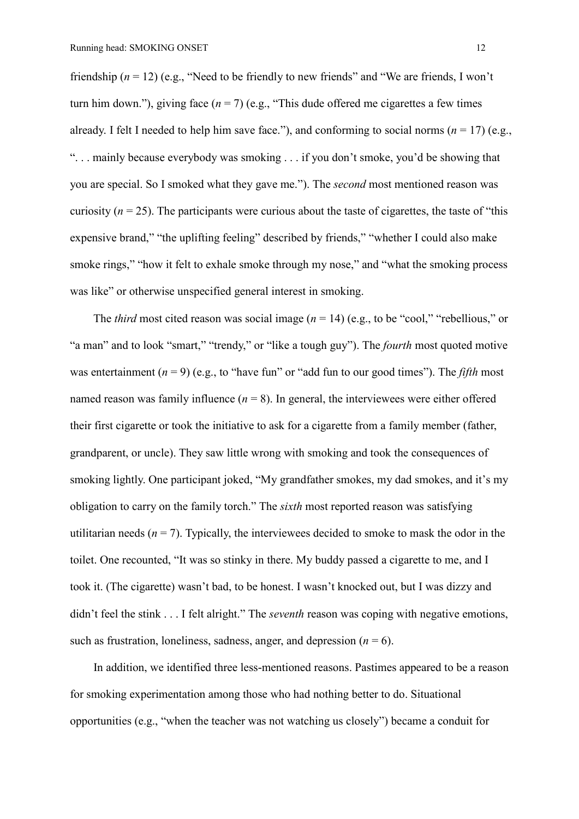friendship (*n* = 12) (e.g., "Need to be friendly to new friends" and "We are friends, I won't turn him down."), giving face  $(n = 7)$  (e.g., "This dude offered me cigarettes a few times already. I felt I needed to help him save face."), and conforming to social norms ( $n = 17$ ) (e.g., ". . . mainly because everybody was smoking . . . if you don't smoke, you'd be showing that you are special. So I smoked what they gave me."). The *second* most mentioned reason was curiosity  $(n = 25)$ . The participants were curious about the taste of cigarettes, the taste of "this" expensive brand," "the uplifting feeling" described by friends," "whether I could also make smoke rings," "how it felt to exhale smoke through my nose," and "what the smoking process was like" or otherwise unspecified general interest in smoking.

The *third* most cited reason was social image  $(n = 14)$  (e.g., to be "cool," "rebellious," or "a man" and to look "smart," "trendy," or "like a tough guy"). The *fourth* most quoted motive was entertainment  $(n = 9)$  (e.g., to "have fun" or "add fun to our good times"). The *fifth* most named reason was family influence  $(n = 8)$ . In general, the interviewees were either offered their first cigarette or took the initiative to ask for a cigarette from a family member (father, grandparent, or uncle). They saw little wrong with smoking and took the consequences of smoking lightly. One participant joked, "My grandfather smokes, my dad smokes, and it's my obligation to carry on the family torch." The *sixth* most reported reason was satisfying utilitarian needs  $(n = 7)$ . Typically, the interviewees decided to smoke to mask the odor in the toilet. One recounted, "It was so stinky in there. My buddy passed a cigarette to me, and I took it. (The cigarette) wasn't bad, to be honest. I wasn't knocked out, but I was dizzy and didn't feel the stink . . . I felt alright." The *seventh* reason was coping with negative emotions, such as frustration, loneliness, sadness, anger, and depression  $(n = 6)$ .

In addition, we identified three less-mentioned reasons. Pastimes appeared to be a reason for smoking experimentation among those who had nothing better to do. Situational opportunities (e.g., "when the teacher was not watching us closely") became a conduit for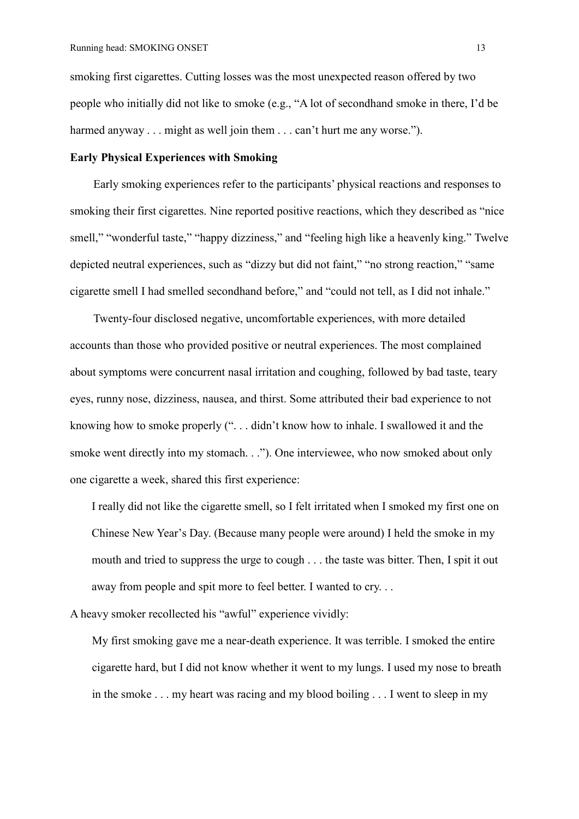smoking first cigarettes. Cutting losses was the most unexpected reason offered by two people who initially did not like to smoke (e.g., "A lot of secondhand smoke in there, I'd be harmed anyway . . . might as well join them . . . can't hurt me any worse.").

# **Early Physical Experiences with Smoking**

Early smoking experiences refer to the participants' physical reactions and responses to smoking their first cigarettes. Nine reported positive reactions, which they described as "nice smell," "wonderful taste," "happy dizziness," and "feeling high like a heavenly king." Twelve depicted neutral experiences, such as "dizzy but did not faint," "no strong reaction," "same cigarette smell I had smelled secondhand before," and "could not tell, as I did not inhale."

Twenty-four disclosed negative, uncomfortable experiences, with more detailed accounts than those who provided positive or neutral experiences. The most complained about symptoms were concurrent nasal irritation and coughing, followed by bad taste, teary eyes, runny nose, dizziness, nausea, and thirst. Some attributed their bad experience to not knowing how to smoke properly (". . . didn't know how to inhale. I swallowed it and the smoke went directly into my stomach. . ."). One interviewee, who now smoked about only one cigarette a week, shared this first experience:

I really did not like the cigarette smell, so I felt irritated when I smoked my first one on Chinese New Year's Day. (Because many people were around) I held the smoke in my mouth and tried to suppress the urge to cough . . . the taste was bitter. Then, I spit it out away from people and spit more to feel better. I wanted to cry. . .

A heavy smoker recollected his "awful" experience vividly:

My first smoking gave me a near-death experience. It was terrible. I smoked the entire cigarette hard, but I did not know whether it went to my lungs. I used my nose to breath in the smoke . . . my heart was racing and my blood boiling . . . I went to sleep in my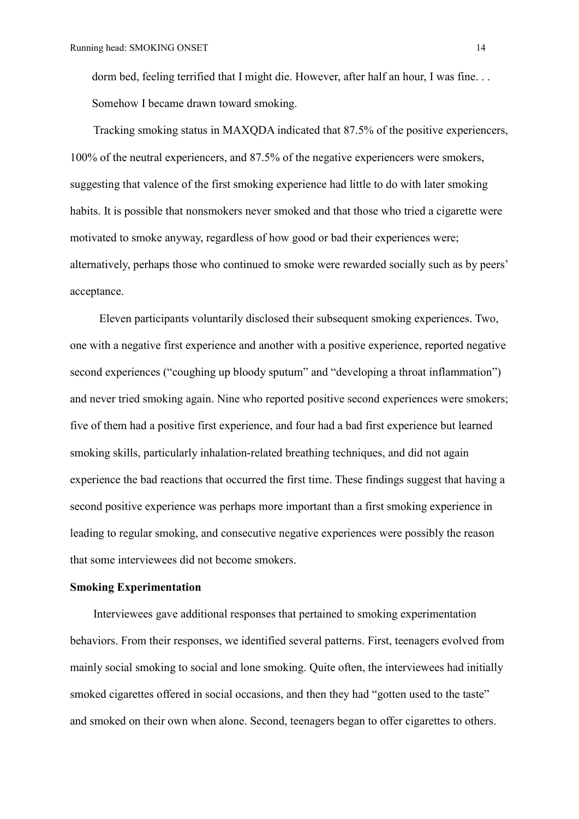dorm bed, feeling terrified that I might die. However, after half an hour, I was fine. . . Somehow I became drawn toward smoking.

Tracking smoking status in MAXQDA indicated that 87.5% of the positive experiencers, 100% of the neutral experiencers, and 87.5% of the negative experiencers were smokers, suggesting that valence of the first smoking experience had little to do with later smoking habits. It is possible that nonsmokers never smoked and that those who tried a cigarette were motivated to smoke anyway, regardless of how good or bad their experiences were; alternatively, perhaps those who continued to smoke were rewarded socially such as by peers' acceptance.

Eleven participants voluntarily disclosed their subsequent smoking experiences. Two, one with a negative first experience and another with a positive experience, reported negative second experiences ("coughing up bloody sputum" and "developing a throat inflammation") and never tried smoking again. Nine who reported positive second experiences were smokers; five of them had a positive first experience, and four had a bad first experience but learned smoking skills, particularly inhalation-related breathing techniques, and did not again experience the bad reactions that occurred the first time. These findings suggest that having a second positive experience was perhaps more important than a first smoking experience in leading to regular smoking, and consecutive negative experiences were possibly the reason that some interviewees did not become smokers.

## **Smoking Experimentation**

Interviewees gave additional responses that pertained to smoking experimentation behaviors. From their responses, we identified several patterns. First, teenagers evolved from mainly social smoking to social and lone smoking. Quite often, the interviewees had initially smoked cigarettes offered in social occasions, and then they had "gotten used to the taste" and smoked on their own when alone. Second, teenagers began to offer cigarettes to others.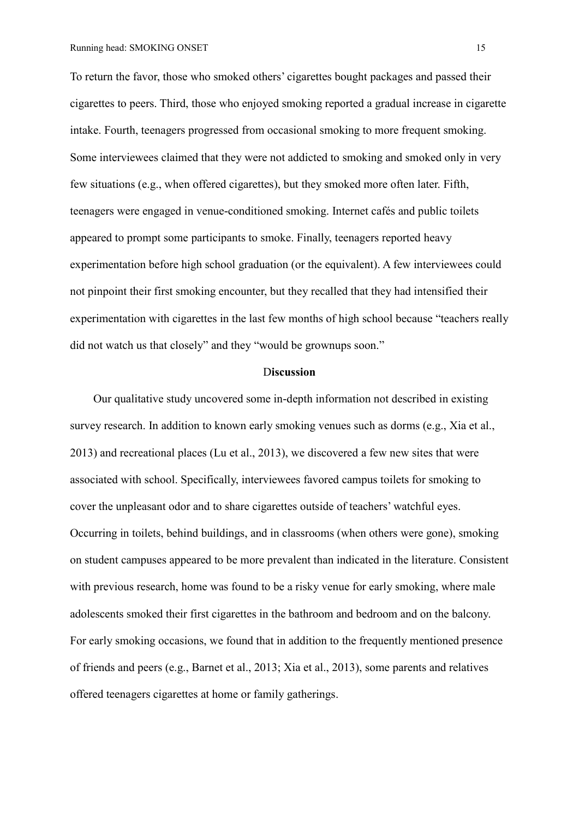To return the favor, those who smoked others' cigarettes bought packages and passed their cigarettes to peers. Third, those who enjoyed smoking reported a gradual increase in cigarette intake. Fourth, teenagers progressed from occasional smoking to more frequent smoking. Some interviewees claimed that they were not addicted to smoking and smoked only in very few situations (e.g., when offered cigarettes), but they smoked more often later. Fifth, teenagers were engaged in venue-conditioned smoking. Internet cafés and public toilets appeared to prompt some participants to smoke. Finally, teenagers reported heavy experimentation before high school graduation (or the equivalent). A few interviewees could not pinpoint their first smoking encounter, but they recalled that they had intensified their experimentation with cigarettes in the last few months of high school because "teachers really did not watch us that closely" and they "would be grownups soon."

#### D**iscussion**

Our qualitative study uncovered some in-depth information not described in existing survey research. In addition to known early smoking venues such as dorms (e.g., Xia et al., 2013) and recreational places (Lu et al., 2013), we discovered a few new sites that were associated with school. Specifically, interviewees favored campus toilets for smoking to cover the unpleasant odor and to share cigarettes outside of teachers' watchful eyes. Occurring in toilets, behind buildings, and in classrooms (when others were gone), smoking on student campuses appeared to be more prevalent than indicated in the literature. Consistent with previous research, home was found to be a risky venue for early smoking, where male adolescents smoked their first cigarettes in the bathroom and bedroom and on the balcony. For early smoking occasions, we found that in addition to the frequently mentioned presence of friends and peers (e.g., Barnet et al., 2013; Xia et al., 2013), some parents and relatives offered teenagers cigarettes at home or family gatherings.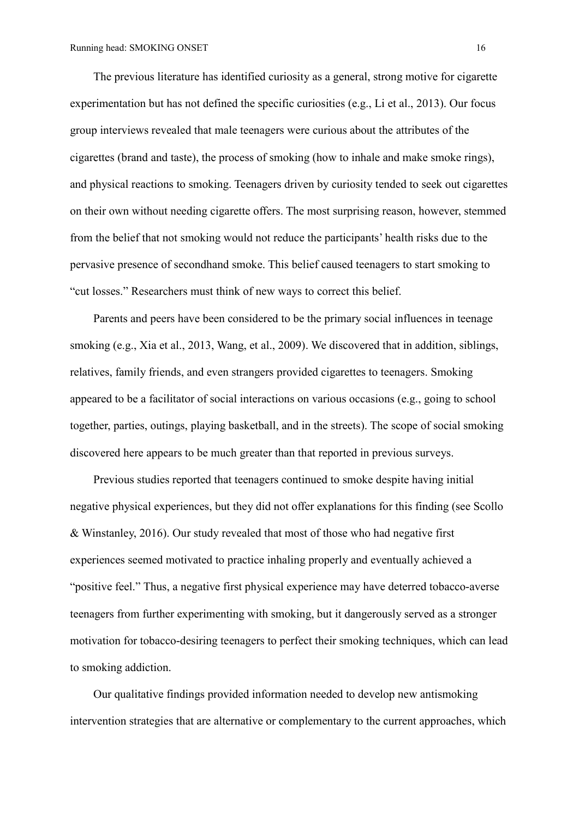The previous literature has identified curiosity as a general, strong motive for cigarette experimentation but has not defined the specific curiosities (e.g., Li et al., 2013). Our focus group interviews revealed that male teenagers were curious about the attributes of the cigarettes (brand and taste), the process of smoking (how to inhale and make smoke rings), and physical reactions to smoking. Teenagers driven by curiosity tended to seek out cigarettes on their own without needing cigarette offers. The most surprising reason, however, stemmed from the belief that not smoking would not reduce the participants' health risks due to the pervasive presence of secondhand smoke. This belief caused teenagers to start smoking to "cut losses." Researchers must think of new ways to correct this belief.

Parents and peers have been considered to be the primary social influences in teenage smoking (e.g., Xia et al., 2013, Wang, et al., 2009). We discovered that in addition, siblings, relatives, family friends, and even strangers provided cigarettes to teenagers. Smoking appeared to be a facilitator of social interactions on various occasions (e.g., going to school together, parties, outings, playing basketball, and in the streets). The scope of social smoking discovered here appears to be much greater than that reported in previous surveys.

Previous studies reported that teenagers continued to smoke despite having initial negative physical experiences, but they did not offer explanations for this finding (see Scollo & Winstanley, 2016). Our study revealed that most of those who had negative first experiences seemed motivated to practice inhaling properly and eventually achieved a "positive feel." Thus, a negative first physical experience may have deterred tobacco-averse teenagers from further experimenting with smoking, but it dangerously served as a stronger motivation for tobacco-desiring teenagers to perfect their smoking techniques, which can lead to smoking addiction.

Our qualitative findings provided information needed to develop new antismoking intervention strategies that are alternative or complementary to the current approaches, which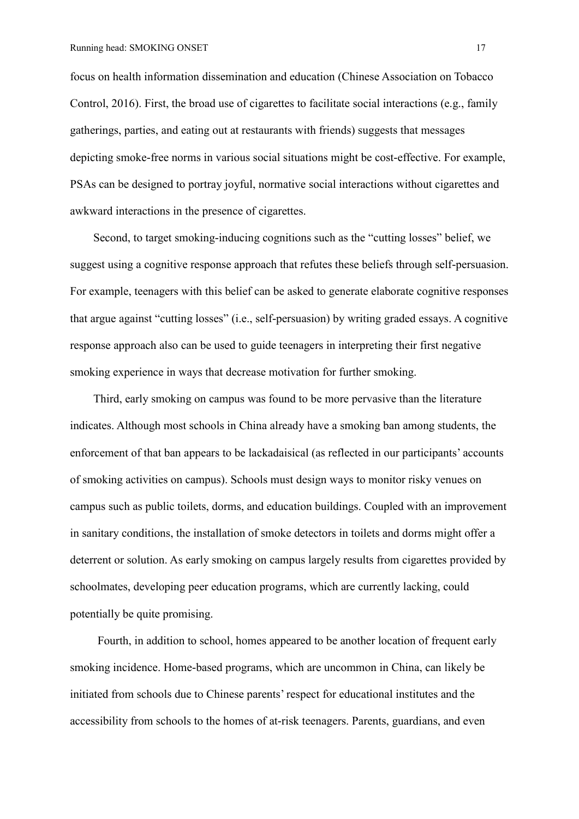focus on health information dissemination and education (Chinese Association on Tobacco Control, 2016). First, the broad use of cigarettes to facilitate social interactions (e.g., family gatherings, parties, and eating out at restaurants with friends) suggests that messages depicting smoke-free norms in various social situations might be cost-effective. For example, PSAs can be designed to portray joyful, normative social interactions without cigarettes and awkward interactions in the presence of cigarettes.

Second, to target smoking-inducing cognitions such as the "cutting losses" belief, we suggest using a cognitive response approach that refutes these beliefs through self-persuasion. For example, teenagers with this belief can be asked to generate elaborate cognitive responses that argue against "cutting losses" (i.e., self-persuasion) by writing graded essays. A cognitive response approach also can be used to guide teenagers in interpreting their first negative smoking experience in ways that decrease motivation for further smoking.

Third, early smoking on campus was found to be more pervasive than the literature indicates. Although most schools in China already have a smoking ban among students, the enforcement of that ban appears to be lackadaisical (as reflected in our participants' accounts of smoking activities on campus). Schools must design ways to monitor risky venues on campus such as public toilets, dorms, and education buildings. Coupled with an improvement in sanitary conditions, the installation of smoke detectors in toilets and dorms might offer a deterrent or solution. As early smoking on campus largely results from cigarettes provided by schoolmates, developing peer education programs, which are currently lacking, could potentially be quite promising.

Fourth, in addition to school, homes appeared to be another location of frequent early smoking incidence. Home-based programs, which are uncommon in China, can likely be initiated from schools due to Chinese parents' respect for educational institutes and the accessibility from schools to the homes of at-risk teenagers. Parents, guardians, and even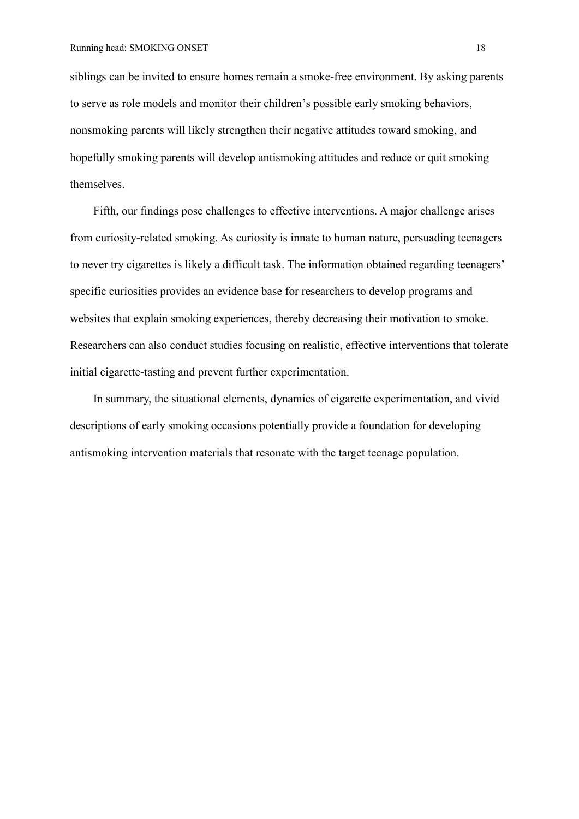siblings can be invited to ensure homes remain a smoke-free environment. By asking parents to serve as role models and monitor their children's possible early smoking behaviors, nonsmoking parents will likely strengthen their negative attitudes toward smoking, and hopefully smoking parents will develop antismoking attitudes and reduce or quit smoking themselves.

Fifth, our findings pose challenges to effective interventions. A major challenge arises from curiosity-related smoking. As curiosity is innate to human nature, persuading teenagers to never try cigarettes is likely a difficult task. The information obtained regarding teenagers' specific curiosities provides an evidence base for researchers to develop programs and websites that explain smoking experiences, thereby decreasing their motivation to smoke. Researchers can also conduct studies focusing on realistic, effective interventions that tolerate initial cigarette-tasting and prevent further experimentation.

In summary, the situational elements, dynamics of cigarette experimentation, and vivid descriptions of early smoking occasions potentially provide a foundation for developing antismoking intervention materials that resonate with the target teenage population.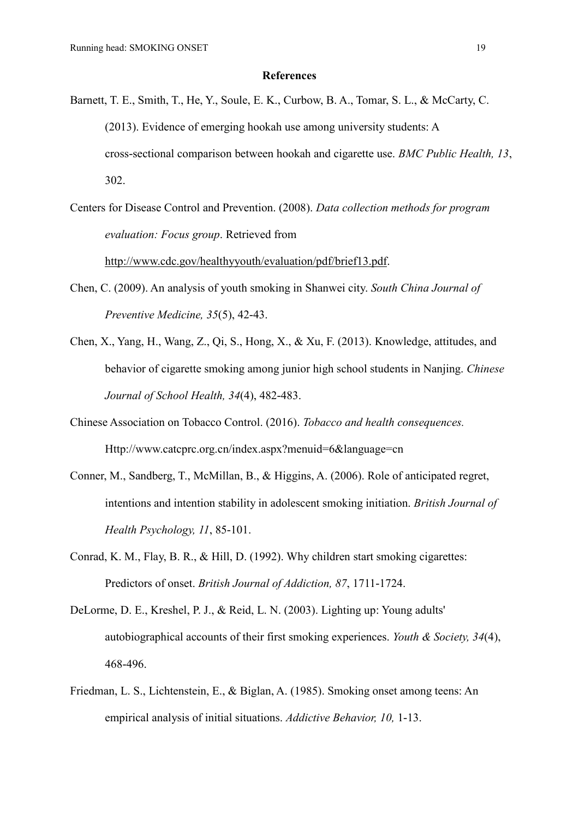#### **References**

- Barnett, T. E., Smith, T., He, Y., Soule, E. K., Curbow, B. A., Tomar, S. L., & McCarty, C. (2013). Evidence of emerging hookah use among university students: A cross-sectional comparison between hookah and cigarette use. *BMC Public Health, 13*, 302.
- Centers for Disease Control and Prevention. (2008). *Data collection methods for program evaluation: Focus group*. Retrieved from

[http://www.cdc.gov/healthyyouth/evaluation/pdf/brief13.pdf.](http://www.cdc.gov/healthyyouth/evaluation/pdf/brief13.pdf)

- Chen, C. (2009). An analysis of youth smoking in Shanwei city. *South China Journal of Preventive Medicine, 35*(5), 42-43.
- Chen, X., Yang, H., Wang, Z., Qi, S., Hong, X., & Xu, F. (2013). Knowledge, attitudes, and behavior of cigarette smoking among junior high school students in Nanjing. *Chinese Journal of School Health, 34*(4), 482-483.
- Chinese Association on Tobacco Control. (2016). *Tobacco and health consequences.* Http://www.catcprc.org.cn/index.aspx?menuid=6&language=cn
- Conner, M., Sandberg, T., McMillan, B., & Higgins, A. (2006). Role of anticipated regret, intentions and intention stability in adolescent smoking initiation. *British Journal of Health Psychology, 11*, 85-101.
- Conrad, K. M., Flay, B. R., & Hill, D. (1992). Why children start smoking cigarettes: Predictors of onset. *British Journal of Addiction, 87*, 1711-1724.
- DeLorme, D. E., Kreshel, P. J., & Reid, L. N. (2003). Lighting up: Young adults' autobiographical accounts of their first smoking experiences. *Youth & Society, 34*(4), 468-496.
- Friedman, L. S., Lichtenstein, E., & Biglan, A. (1985). Smoking onset among teens: An empirical analysis of initial situations. *Addictive Behavior, 10,* 1-13.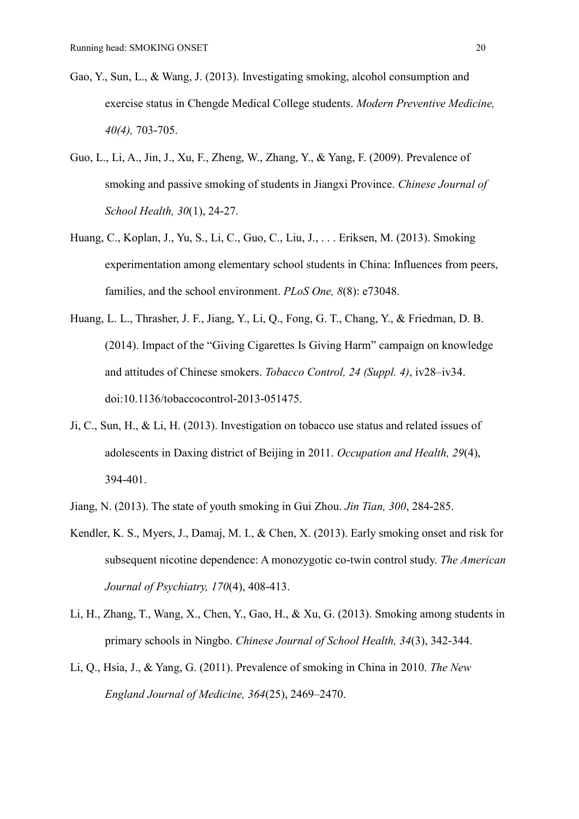- Gao, Y., Sun, L., & Wang, J. (2013). Investigating smoking, alcohol consumption and exercise status in Chengde Medical College students. *Modern Preventive Medicine, 40(4),* 703-705.
- Guo, L., Li, A., Jin, J., Xu, F., Zheng, W., Zhang, Y., & Yang, F. (2009). Prevalence of smoking and passive smoking of students in Jiangxi Province. *Chinese Journal of School Health, 30*(1), 24-27.
- Huang, C., Koplan, J., Yu, S., Li, C., Guo, C., Liu, J., . . . Eriksen, M. (2013). Smoking experimentation among elementary school students in China: Influences from peers, families, and the school environment. *PLoS One, 8*(8): e73048.
- Huang, L. L., Thrasher, J. F., Jiang, Y., Li, Q., Fong, G. T., Chang, Y., & Friedman, D. B. (2014). Impact of the "Giving Cigarettes Is Giving Harm" campaign on knowledge and attitudes of Chinese smokers. *Tobacco Control, 24 (Suppl. 4)*, iv28–iv34. doi:10.1136/tobaccocontrol-2013-051475.
- Ji, C., Sun, H., & Li, H. (2013). Investigation on tobacco use status and related issues of adolescents in Daxing district of Beijing in 2011. *Occupation and Health, 29*(4), 394-401.
- Jiang, N. (2013). The state of youth smoking in Gui Zhou. *Jin Tian, 300*, 284-285.
- Kendler, K. S., Myers, J., Damaj, M. I., & Chen, X. (2013). Early smoking onset and risk for subsequent nicotine dependence: A monozygotic co-twin control study. *The American Journal of Psychiatry, 170*(4), 408-413.
- Li, H., Zhang, T., Wang, X., Chen, Y., Gao, H., & Xu, G. (2013). Smoking among students in primary schools in Ningbo. *Chinese Journal of School Health, 34*(3), 342-344.
- Li, Q., Hsia, J., & Yang, G. (2011). Prevalence of smoking in China in 2010. *The New England Journal of Medicine, 364*(25), 2469–2470.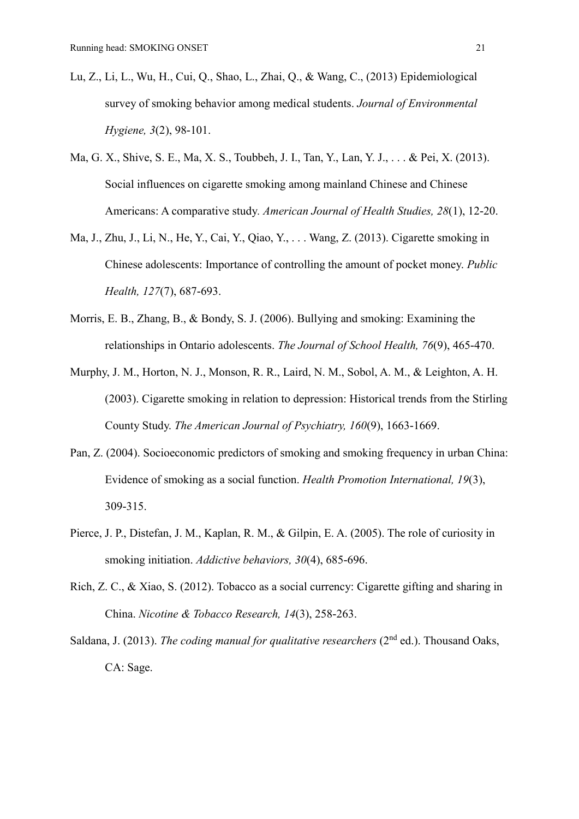- Lu, Z., Li, L., Wu, H., Cui, Q., Shao, L., Zhai, Q., & Wang, C., (2013) Epidemiological survey of smoking behavior among medical students. *Journal of Environmental Hygiene, 3*(2), 98-101.
- Ma, G. X., Shive, S. E., Ma, X. S., Toubbeh, J. I., Tan, Y., Lan, Y. J., . . . & Pei, X. (2013). Social influences on cigarette smoking among mainland Chinese and Chinese Americans: A comparative study*. American Journal of Health Studies, 28*(1), 12-20.
- Ma, J., Zhu, J., Li, N., He, Y., Cai, Y., Qiao, Y., . . . Wang, Z. (2013). Cigarette smoking in Chinese adolescents: Importance of controlling the amount of pocket money. *Public Health, 127*(7), 687-693.
- Morris, E. B., Zhang, B., & Bondy, S. J. (2006). Bullying and smoking: Examining the relationships in Ontario adolescents. *The Journal of School Health, 76*(9), 465-470.
- Murphy, J. M., Horton, N. J., Monson, R. R., Laird, N. M., Sobol, A. M., & Leighton, A. H. (2003). Cigarette smoking in relation to depression: Historical trends from the Stirling County Study. *The American Journal of Psychiatry, 160*(9), 1663-1669.
- Pan, Z. (2004). Socioeconomic predictors of smoking and smoking frequency in urban China: Evidence of smoking as a social function. *Health Promotion International, 19*(3), 309-315.
- Pierce, J. P., Distefan, J. M., Kaplan, R. M., & Gilpin, E. A. (2005). The role of curiosity in smoking initiation. *Addictive behaviors, 30*(4), 685-696.
- Rich, Z. C., & Xiao, S. (2012). Tobacco as a social currency: Cigarette gifting and sharing in China. *Nicotine & Tobacco Research, 14*(3), 258-263.
- Saldana, J. (2013). *The coding manual for qualitative researchers* (2<sup>nd</sup> ed.). Thousand Oaks, CA: Sage.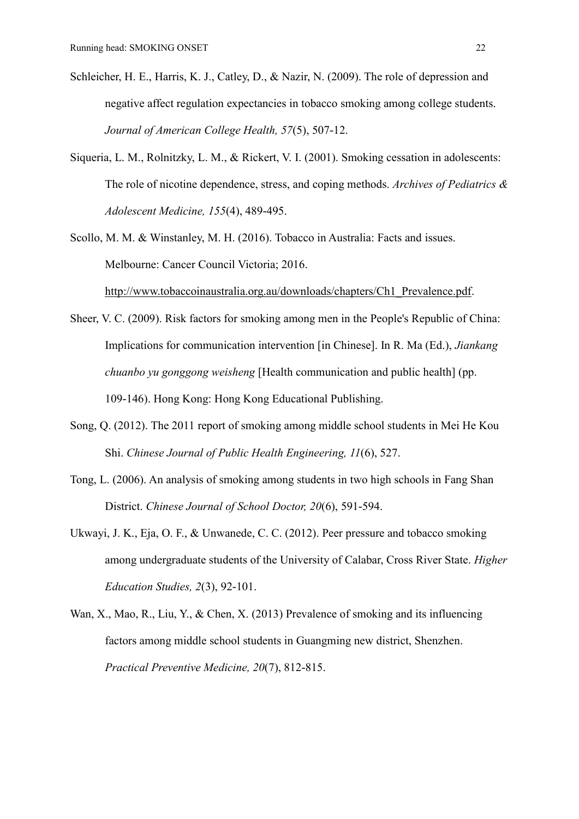- Schleicher, H. E., Harris, K. J., Catley, D., & Nazir, N. (2009). The role of depression and negative affect regulation expectancies in tobacco smoking among college students. *Journal of American College Health, 57*(5), 507-12.
- Siqueria, L. M., Rolnitzky, L. M., & Rickert, V. I. (2001). Smoking cessation in adolescents: The role of nicotine dependence, stress, and coping methods. *Archives of Pediatrics & Adolescent Medicine, 155*(4), 489-495.
- Scollo, M. M. & Winstanley, M. H. (2016). Tobacco in Australia: Facts and issues. Melbourne: Cancer Council Victoria; 2016.

[http://www.tobaccoinaustralia.org.au/downloads/chapters/Ch1\\_Prevalence.pdf.](http://www.tobaccoinaustralia.org.au/downloads/chapters/Ch1_Prevalence.pdf)

- Sheer, V. C. (2009). Risk factors for smoking among men in the People's Republic of China: Implications for communication intervention [in Chinese]. In R. Ma (Ed.), *Jiankang chuanbo yu gonggong weisheng* [Health communication and public health] (pp. 109-146). Hong Kong: Hong Kong Educational Publishing.
- Song, Q. (2012). The 2011 report of smoking among middle school students in Mei He Kou Shi. *Chinese Journal of Public Health Engineering, 11*(6), 527.
- Tong, L. (2006). An analysis of smoking among students in two high schools in Fang Shan District. *Chinese Journal of School Doctor, 20*(6), 591-594.
- Ukwayi, J. K., Eja, O. F., & Unwanede, C. C. (2012). Peer pressure and tobacco smoking among undergraduate students of the University of Calabar, Cross River State. *Higher Education Studies, 2*(3), 92-101.
- Wan, X., Mao, R., Liu, Y., & Chen, X. (2013) Prevalence of smoking and its influencing factors among middle school students in Guangming new district, Shenzhen. *Practical Preventive Medicine, 20*(7), 812-815.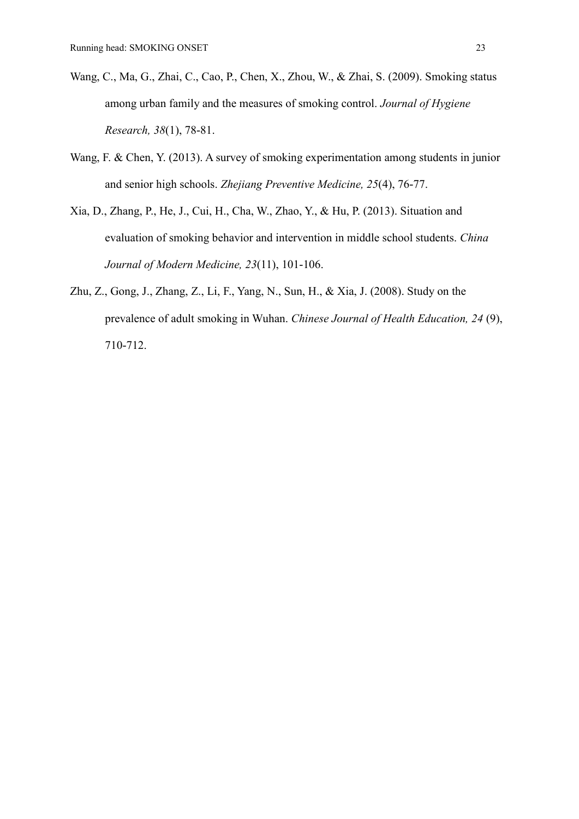- Wang, C., Ma, G., Zhai, C., Cao, P., Chen, X., Zhou, W., & Zhai, S. (2009). Smoking status among urban family and the measures of smoking control. *Journal of Hygiene Research, 38*(1), 78-81.
- Wang, F. & Chen, Y. (2013). A survey of smoking experimentation among students in junior and senior high schools. *Zhejiang Preventive Medicine, 25*(4), 76-77.
- Xia, D., Zhang, P., He, J., Cui, H., Cha, W., Zhao, Y., & Hu, P. (2013). Situation and evaluation of smoking behavior and intervention in middle school students. *China Journal of Modern Medicine, 23*(11), 101-106.
- Zhu, Z., Gong, J., Zhang, Z., Li, F., Yang, N., Sun, H., & Xia, J. (2008). Study on the prevalence of adult smoking in Wuhan. *Chinese Journal of Health Education, 24* (9), 710-712.